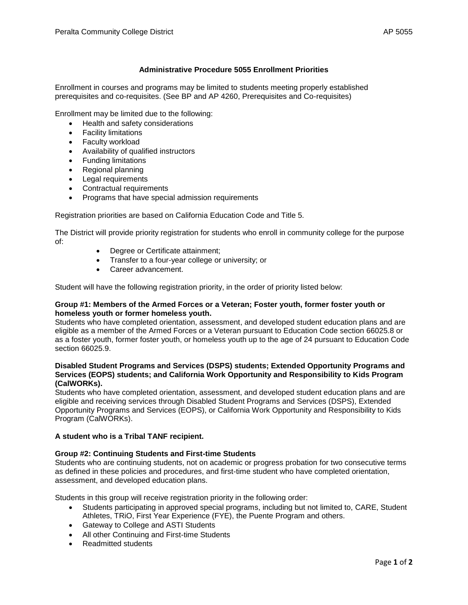# **Administrative Procedure 5055 Enrollment Priorities**

Enrollment in courses and programs may be limited to students meeting properly established prerequisites and co-requisites. (See BP and AP 4260, Prerequisites and Co-requisites)

Enrollment may be limited due to the following:

- Health and safety considerations
- Facility limitations
- Faculty workload
- Availability of qualified instructors
- Funding limitations
- Regional planning
- Legal requirements
- Contractual requirements
- Programs that have special admission requirements

Registration priorities are based on California Education Code and Title 5.

The District will provide priority registration for students who enroll in community college for the purpose of:

- Degree or Certificate attainment;
- Transfer to a four-year college or university; or
- Career advancement.

Student will have the following registration priority, in the order of priority listed below:

### **Group #1: Members of the Armed Forces or a Veteran; Foster youth, former foster youth or homeless youth or former homeless youth.**

Students who have completed orientation, assessment, and developed student education plans and are eligible as a member of the Armed Forces or a Veteran pursuant to Education Code section 66025.8 or as a foster youth, former foster youth, or homeless youth up to the age of 24 pursuant to Education Code section 66025.9.

## **Disabled Student Programs and Services (DSPS) students; Extended Opportunity Programs and Services (EOPS) students; and California Work Opportunity and Responsibility to Kids Program (CalWORKs).**

Students who have completed orientation, assessment, and developed student education plans and are eligible and receiving services through Disabled Student Programs and Services (DSPS), Extended Opportunity Programs and Services (EOPS), or California Work Opportunity and Responsibility to Kids Program (CalWORKs).

### **A student who is a Tribal TANF recipient.**

### **Group #2: Continuing Students and First-time Students**

Students who are continuing students, not on academic or progress probation for two consecutive terms as defined in these policies and procedures, and first-time student who have completed orientation, assessment, and developed education plans.

Students in this group will receive registration priority in the following order:

- Students participating in approved special programs, including but not limited to, CARE, Student Athletes, TRiO, First Year Experience (FYE), the Puente Program and others.
- Gateway to College and ASTI Students
- All other Continuing and First-time Students
- Readmitted students